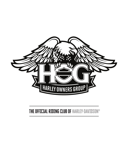

## THE OFFICIAL RIDING CLUB OF HARLEY-DAVIDSON®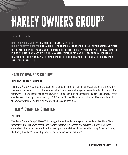# Harley Owners Group®

Table of Contents

**HARLEY OWNERS GROUP® RESPONSIBILITY STATEMENT 02 |**

**H.O.G.® CHAPTER CHARTER PREAMBLE 02 | PURPOSE 03 | SPONSORSHIP 03 | APPLICATION AND TERM OF RELATIONSHIP 04 | NAME AND AFFILIATION 04 | OFFICERS 05 | MEMBERSHIP 06 | DUES / CHAPTER FUNDS 07 | RIDES AND ACTIVITIES 08 | CHAPTER COMMUNICATIONS 08 | TRADEMARK LICENSE 09 | CHAPTER POLICIES / BY-LAWS 11 | AMENDMENTS 11 | DISBURSEMENT OF FUNDS 11 | DISCLAIMER 12 | APPLICABLE LAWS 12 |** 

### **HARLEY OWNERS GROUP®**

#### **RESPONSIBILITY STATEMENT**

The *H.O.G.® Chapter Charter* is the document that defines the relationships between the local chapter, the sponsoring Dealer and H.O.G.® The articles in the Charter are binding; you can count on the chapter as "the final word" in any question you might have. It is the responsibility of sponsoring Dealers to ensure that their chapter meets the requirements set by H.O.G.® in the Charter. The director and other officers shall uphold the *H.O.G.® Chapter Charter* in all chapter business and activities.

## **H.O.G.® CHAPTER CHARTER**

#### **PREAMBLE**

The Harley Owners Group® (H.O.G.®) is an organization founded and sponsored by Harley-Davidson Motor Company®. The Group was established to offer motorcycling benefits and services to Harley-Davidson® enthusiasts throughout the world, and to develop a close relationship between the Harley-Davidson® rider, the Harley-Davidson® Dealership, and Harley-Davidson Motor Company®.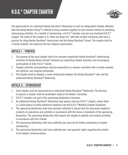

The opportunity for an authorized Harley-Davidson® Dealership to start an independent chapter affiliated with the Harley Owners Group® is offered to bring members together for the common interest of promoting motorcycling activities. As a benefit of membership, a H.O.G.® member may join any chartered H.O.G.® chapter. The intent of the chapter is to "Ride and Have Fun" with like-minded individuals who have a passion for riding Harley-Davidson® motorcycles and the Harley-Davidson® brand. The chapter shall be a family-oriented, non-political and non-religious organization.

#### **ARTICLE I – PURPOSE**

- 1. The purpose of the local chapter shall be to promote responsible Harley-Davidson<sup>®</sup> motorcycling activities for Harley Owners Group® members by conducting chapter activities and encouraging participation in other H.O.G.® events.
- 2. Chapter activities and operations shall be conducted in a manner consistent with a family-oriented, non-political, non-religious philosophy.
- 3. The chapter exists to develop a closer relationship between the Harley-Davidson<sup>®</sup> rider and the authorized Harley-Davidson® Dealership.

#### **ARTICLE II – SPONSORSHIP**

- 1. Each chapter must be sponsored by an authorized Harley-Davidson® Dealership. The decision to sponsor a chapter shall be undertaken solely at the Dealer's discretion.
- 2. H.O.G.® chapters are part of the sponsoring dealership's business.
- 3. An authorized Harley-Davidson® Dealership may sponsor only one H.O.G.® chapter, unless there is a valid reason to justify additional chapter(s) per the H.O.G.® Multiple Chapter Guidelines.
- 4. The sponsoring Dealership shall have absolute authority to require that the sponsored chapter(s) conducts its operations and activities in accordance with the vision or standards of the sponsoring Dealership. The sponsoring Dealership shall require the chapter to operate and conduct activities in accordance with this Charter.
- 5. The sponsoring Dealership shall have authority over any and all matters pertaining to chapter membership.
- 6. The sponsoring Dealership shall have authority over, and approval rights regarding the content of all chapter communications.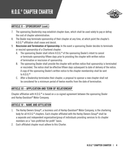# H.O.G.® CHAPTER CHARTER



#### **ARTICLE II – SPONSORSHIP (cont.)**

- 7. The sponsoring Dealership may establish chapter dues, which shall be used solely to pay or defray the cost of chapter administration.
- 8. The Dealer may terminate sponsorship of their chapter at any time, at which point the chapter's H.O.G.® affiliation shall cease and desist.
- 9. **Rescission and Termination of Sponsorship:** In the event a sponsoring Dealer decides to terminate or rescind sponsorship of a Chartered chapter:
	- A. The sponsoring Dealer shall inform H.O.G.® of the sponsoring Dealer's intent to cancel or terminate sponsorship fifteen days prior to providing the chapter with written notice of termination or rescission of sponsorship.
	- B. The sponsoring Dealer shall provide the chapter with written notice that sponsorship is terminated or rescinded. The notice shall be effective fifteen days subsequent to date of delivery of the notice. A copy of the sponsoring Dealer's written notice to the chapter membership shall be sent to H.O.G.®
	- C. After a Dealership terminates their chapter, a proposal to sponsor a new chapter shall not be considered for a minimum period of twelve months from the date of termination.

#### **ARTICLE III – APPLICATION AND TERM OF RELATIONSHIP**

Chapter affiliation with  $H.O.G.  $®$  is based on a co-signed agreement between the sponsoring Dealer$ and Harley-Davidson® Motor Company.

#### **ARTICLE IV – NAME AND AFFILIATION**

- 1. The Harley Owners Group®, a business unit of Harley-Davidson® Motor Company, is the chartering body for all H.O.G.® chapters. Each chapter affiliated with the Harley Owners Group® shall be a separate and independent organization/group of individuals providing services to its chapter members on a "non-profit/not-for-profit" basis.
- 2. Each affiliated chapter must adhere to this Charter.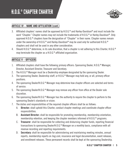

#### **ARTICLE IV – NAME AND AFFILIATION (cont.)**

- 3. Affiliated chapters' names shall be approved by H.O.G.® and Harley-Davidson® and must include the word "Chapter." Chapter names may not include the trademarks of H.O.G.® or Harley-Davidson®. Only approved H.O.G.® chapters have the designation of "Chapter" in their name. Chapter names remain under the ownership of H.O.G.® and Harley-Davidson® may be used only for authorized H.O.G.® chapters and shall not be used in any other consideration.
- 4. Should H.O.G.<sup>®</sup> determine, in its sole discretion, that a chapter is not adhering to this Charter, H.O.G.<sup>®</sup> may terminate the chapter as a H.O.G.® affiliated organization.

#### **ARTICLE V – OFFICERS**

- 1. Affiliated chapters shall have the following primary officers: Sponsoring Dealer, H.O.G.<sup>®</sup> Manager, Director, Assistant Director, Treasurer and Secretary.
- 2. The H.O.G.® Manager must be a Dealership employee designated by the sponsoring Dealer.
- 3. The sponsoring Dealer, Dealership staff, or H.O.G.® Manager may hold any, or all, primary officer positions.
- 4. The sponsoring Dealer/H.O.G.<sup>®</sup> Manager may determine how chapter officers are selected and terms of service.
- 5. The sponsoring Dealer/H.O.G.® Manager may remove any officer from office at the Dealer sole discretion.
- 6. The sponsoring Dealer/H.O.G.® Manager has the authority to require the chapter to perform to the sponsoring Dealer's standards or vision.
- 7. The duties and responsibilities of the required chapter officers shall be as follows:
	- A. **Director:** shall uphold this Charter, conduct chapter meetings and coordinate chapter officer responsibilities.
	- B. **Assistant Director:** shall be responsible for promoting membership, membership orientation, membership retention, and keeping the chapter members informed of H.O.G.® programs.
	- C. **Treasurer**: shall be responsible for collecting and disbursing chapter funds, reporting financial transactions to sponsoring Dealer/H.O.G.® Manager on a monthly basis, compliance with all revenue recording and reporting requirements.
	- D. **Secretary:** shall be responsible for administering and maintaining meeting minutes, annual reports, membership reports on *hog.com*, insurance and legal documentation, event releases, and enrollment releases. These permanent records shall be kept at the sponsoring Dealership.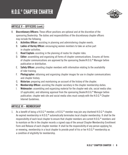

#### **ARTICLE V – OFFICERS (cont.)**

- 8. **Discretionary Officers:** These officer positions are optional and at the discretion of the sponsoring Dealership. The duties and responsibilities of the discretionary chapter officers may include the following.
	- A. **Activities Officer:** assisting in planning and administering chapter events.
	- B. **Ladies of Harley Officer:** encouraging women members to take an active part in chapter activities.
	- C. **Road Captain:** assisting in the planning of routes for chapter rides.
	- D. **Editor:** assembling and organizing all forms of chapter communications. Ensures all forms of chapter communications are approved by the sponsoring Dealer/H.O.G.® Manager before publication or distribution.
	- E. **Safety Officer:** providing chapter members with information relating to the availability of rider training.
	- F. **Photographer:** obtaining and organizing chapter images for use in chapter communications and chapter history.
	- G. **Historian:** preparing and maintaining an account of the history of the chapter.
	- H. **Membership Officer:** assisting the chapter secretary in the chapter membership duties.
	- I. **Webmaster:** assembling and organizing material for the chapter web site, social media sites (if applicable), and obtaining approval from the sponsoring Dealer/H.O.G.<sup>®</sup> Manager before publication. chapter web site and social media sites must comply with the H.O.G.® Chapter Internet Guidelines.

#### **ARTICLE VI – MEMBERSHIP**

1. As a benefit of being a H.O.G.<sup>®</sup> member, a H.O.G.<sup>®</sup> member may join any chartered H.O.G.<sup>®</sup> chapter. An expired membership in H.O.G.® automatically terminates local chapter membership. It shall be the responsibility of each local chapter to ensure that chapter members are current H.O.G.® members and to maintain on file in the chapter records a signed copy of the annual Chapter Membership Enrollment Form and Release of each chapter member. It shall be the responsibility of any person applying for, or renewing, membership in a local chapter to provide proof of his or her H.O.G.® membership as a condition of eligibility for membership.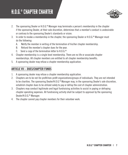# H.O.G.® CHAPTER CHARTER



- 2. The sponsoring Dealer or H.O.G.® Manager may terminate a person's membership in the chapter if the sponsoring Dealer, at their sole discretion, determines that a member's conduct is undesirable or contrary to the sponsoring Dealer's standards or vision.
- 3. In order to revoke a membership in the chapter, the sponsoring Dealer or  $H.O.G.®$  Manager must do the following:
	- A. Notify the member in writing of the termination of his/her chapter membership.
	- B. Refund the member's chapter dues for the year.
	- C. Send a copy of the termination letter to H.O.G.®
- 4. Chapter membership is a single level membership. There are no life or associate chapter memberships. All chapter members are entitled to all chapter membership benefits.
- 5. A sponsoring dealer may refuse a chapter membership application.

#### **ARTICLE VII – DUES/CHAPTER FUNDS**

- 1. A sponsoring dealer may refuse a chapter membership application.
- 2. Chapters are to be not-for-profit/non-profit organizations/groups of individuals. They are not intended to be charities. The sponsoring Dealer/H.O.G.® Manager may, in the sponsoring Dealer's sole discretion, establish chapter dues to be utilized solely to pay or defray the cost of chapter administration.
- 3. Chapters may conduct legitimate and legal fundraising activities to assist in paying or defraying chapter operating expenses. All fundraising activity shall be subject to approval by the sponsoring Dealer/H.O.G.® Manager.
- 4. The chapter cannot pay chapter members for their volunteer work.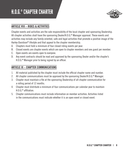

#### **ARTICLE VIII – RIDES & ACTIVITIES**

Chapter events and activities are the sole responsibility of the local chapter and sponsoring Dealership. All chapter activities shall have the sponsoring Dealer/H.O.G.® Manager approval. These events and activities may include any family-oriented, safe and legal activities that promote a positive image of the Harley-Davidson® lifestyle and that appeal to the chapter membership.

- A. Chapters must hold a minimum of four closed riding events per year.
- B. Closed events are chapter events which are open to chapter members and one guest per member.
- C. Open events are events open to everyone.
- D. Any event contracts should be read and approved by the sponsoring Dealer and/or the chapter's H.O.G.® Manager prior to being signed by an officer.

#### **ARTICLE IX – CHAPTER COMMUNICATIONS**

- 1. All material published by the chapter must include the official chapter name and number.
- 2. All chapter communications must be approved by the sponsoring Dealer/H.O.G.<sup>®</sup> Manager.
- 3. Chapter must maintain a file at the sponsoring Dealership of all chapter communication for a rolling period of 12 months.
- 4. Chapter must distribute a minimum of four communications per calendar year to maintain H  $\theta$  G  $^{\circledR}$  affiliation
- 5. Chapter communications must include information on member activities. Activities listed in the communications must indicate whether it is an open event or closed event.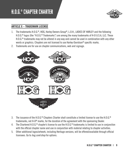# H.O.G.® CHAPTER CHARTER



#### **ARTICLE X – TRADEMARK LICENSE**

- 1. The trademarks H.O.G.®, HOG, Harley Owners Group®, L.O.H., LADIES OF HARLEY and the following H.O.G.® logos (the "H.O.G.® Trademarks") are among the many trademarks of H-D U.S.A, LLC. These H.O.G.® trademarks may not be altered in any way and cannot be used in combination with any other words or graphics. Chapters are not licensed to use Harley-Davidson® specific marks.
- 2. Trademarks are for use on chapter communications, web and signage.



- 3. The issuance of the H.O.G.® Chapters Charter shall constitute a limited license to use the H.O.G.® trademarks, not H-D® marks, for the duration of the agreement with the sponsoring Dealer.
- 4. The Chartered H.O.G.<sup>®</sup> chapter's license to use the H.O.G.<sup>®</sup> trademarks is limited to use in conjunction with the official chapter name and use in conjunction with material relating to chapter activities.
- 5. Other additional logos/artwork, including Heritage versions, will be offered/available through official licensees. Go to *hog.com*/*shop* for options.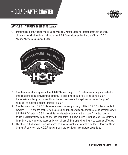

#### **ARTICLE X – TRADEMARK LICENSE (cont'd)**

6. Trademarked H.O.G.® logos shall be displayed only with the official chapter name, which official chapter name shall be displayed above the H.O.G.® eagle logo and within the official H.O.G.® chapter chevron as depicted below.



- 7. Chapters must obtain approval from H.O.G.<sup>®</sup> before using H.O.G.<sup>®</sup> trademarks on any material other than chapter publications/communications. T-shirts, pins and all other items using H.O.G.® trademarks shall only be produced by authorized licensees of Harley-Davidson Motor Company® and shall be subject to prior approval by H.O.G.®
- 8. Chapter use of the H.O.G.<sup>®</sup> Trademarks may continue only so long as this H.O.G.<sup>®</sup> Charter is in effect between H.O.G.® and the sponsoring Dealership and the chartered chapter operates in accordance with this H.O.G.® Charter. H.O.G.® may, at its sole discretion, terminate the chapter's limited license to use the H.O.G.® trademarks at any time upon thirty (30) days' notice in writing, and the chapter will immediately be required to cease and desist all use of the marks when the notice becomes effective.
- 9. The chapter shall provide such assistance as may reasonably be requested by Harley-Davidson Motor Company<sup>®</sup> to protect the H.O.G.<sup>®</sup> trademarks in the locality of the chapter's operations.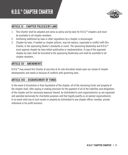

#### **ARTICLE XI – CHAPTER POLICIES/BY-LAWS**

- 1. This Charter shall be adopted and serve as policy and by laws for H.O.G.<sup>®</sup> chapters and must be available to all chapter members.
- 2. Instituting additional by-laws or other regulations by a chapter is discouraged.
- 3. Chapter by-laws, if needed as chapter policies, may not replace, supersede or conflict with this Charter, or the sponsoring Dealer's standards or vision. The sponsoring Dealership and H.O.G.® must approve chapter by-laws before publication or implementation. A copy of the approved chapter by-laws shall be furnished to the sponsoring Dealership and shall be available to all chapter members.

#### **ARTICLE XII – AMENDMENTS**

H.O.G.<sup>®</sup> may amend this Charter at any time at its sole discretion based upon our review of chapter developments and needs or because of conflicts with governing laws.

#### **ARTICLE XIII – DISBURSEMENT OF FUNDS**

In the event of dissolution or final liquidation of the chapter, all of the remaining funds and property of the chapter shall, after paying or making provision for the payment of all of the liabilities and obligations of the chapter and for necessary expenses thereof, be distributed to such organization(s) as are organized and operated exclusively for charitable purposes and that legally qualify as an exempt organization(s). In no event shall any of such assets or property be distributed to any chapter officer, member, private individual or for-profit business.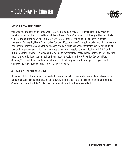

#### **ARTICLE XIV – DISCLAIMER**

While the chapter may be affiliated with H.O.G.®, it remains a separate, independent entity/group of individuals responsible for its actions. All Harley Owners Group® members and their guest(s) participate voluntarily and at their own risk in H.O.G.® and H.O.G.® chapter activities. The sponsoring Dealer, sponsoring Dealership, H.O.G.® and Harley-Davidson Motor Company®, its subsidiaries and distributors and local chapter officers are and shall be released and held harmless by the member/guest for any injury or loss to the member/guest or to his or her property which may result from participation in H.O.G.<sup>®</sup> and H.O.G.® chapter activities. This means that each and every member of the local chapter and their guest(s) have no ground for legal action against the sponsoring Dealership, H.O.G.®, Harley-Davidson Motor Company®, its distributors and its subsidiaries, the local chapters and their respective agents and employees for any injury resulting to them or their property.

#### **ARTICLE XV – APPLICABLE LAWS**

If any part of this Charter should be invalid for any reason whatsoever under any applicable laws having jurisdiction over the subject matter of this Charter, then that part shall be considered deleted from this Charter and the rest of this Charter shall remain valid and in full force and effect.